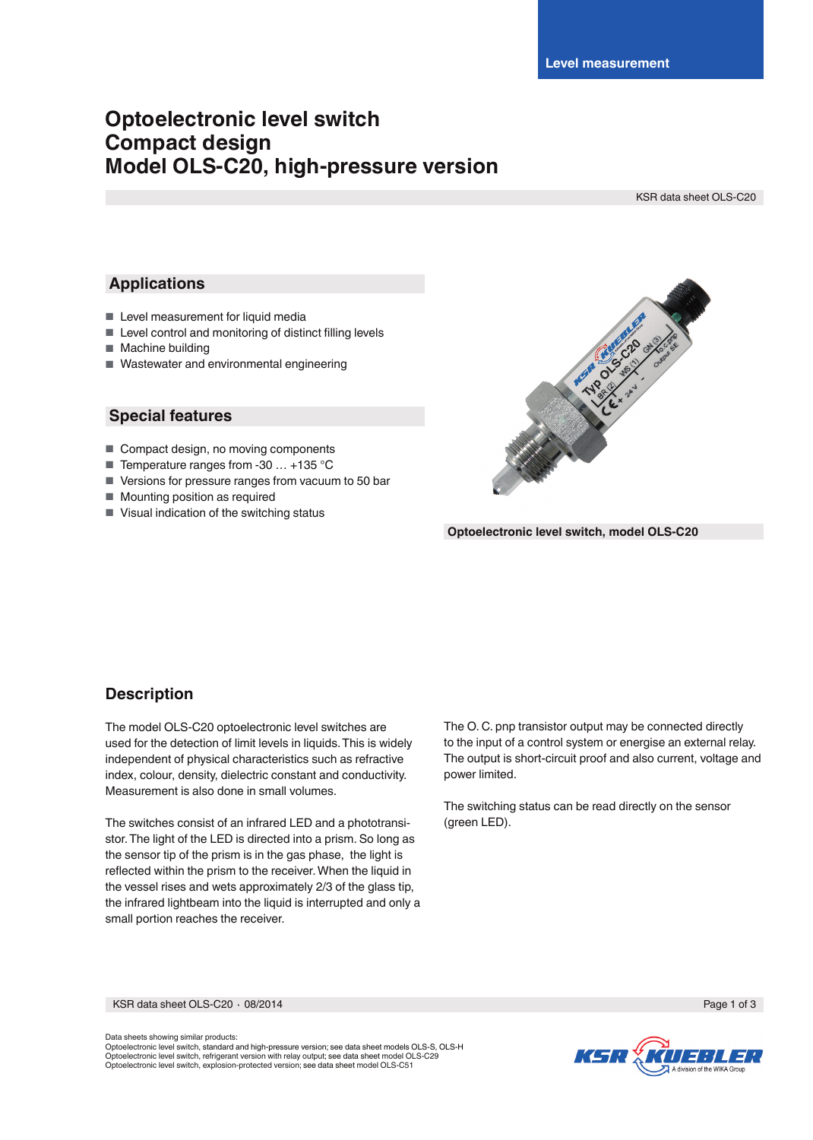# **Optoelectronic level switch Compact design Model OLS-C20, high-pressure version**

KSR data sheet OLS-C20

## **Applications**

- Level measurement for liquid media
- $\blacksquare$  Level control and monitoring of distinct filling levels
- Machine building
- Wastewater and environmental engineering

## **Special features**

- Compact design, no moving components
- Temperature ranges from -30 ... +135 °C
- Versions for pressure ranges from vacuum to 50 bar
- Mounting position as required
- Visual indication of the switching status



**Optoelectronic level switch, model OLS-C20**

# **Description**

The model OLS-C20 optoelectronic level switches are used for the detection of limit levels in liquids. This is widely independent of physical characteristics such as refractive index, colour, density, dielectric constant and conductivity. Measurement is also done in small volumes.

The switches consist of an infrared LED and a phototransistor. The light of the LED is directed into a prism. So long as the sensor tip of the prism is in the gas phase, the light is reflected within the prism to the receiver. When the liquid in the vessel rises and wets approximately 2/3 of the glass tip, the infrared lightbeam into the liquid is interrupted and only a small portion reaches the receiver.

The O. C. pnp transistor output may be connected directly to the input of a control system or energise an external relay. The output is short-circuit proof and also current, voltage and power limited.

The switching status can be read directly on the sensor (green LED).

KSR data sheet OLS-C20 ∙ 08/2014 Page 1 of 3

Data sheets showing similar products: Optoelectronic level switch, standard and high-pressure version; see data sheet models OLS-S, OLS-H Optoelectronic level switch, refrigerant version with relay output; see data sheet model OLS-C29 Optoelectronic level switch, explosion-protected version; see data sheet model OLS-C51

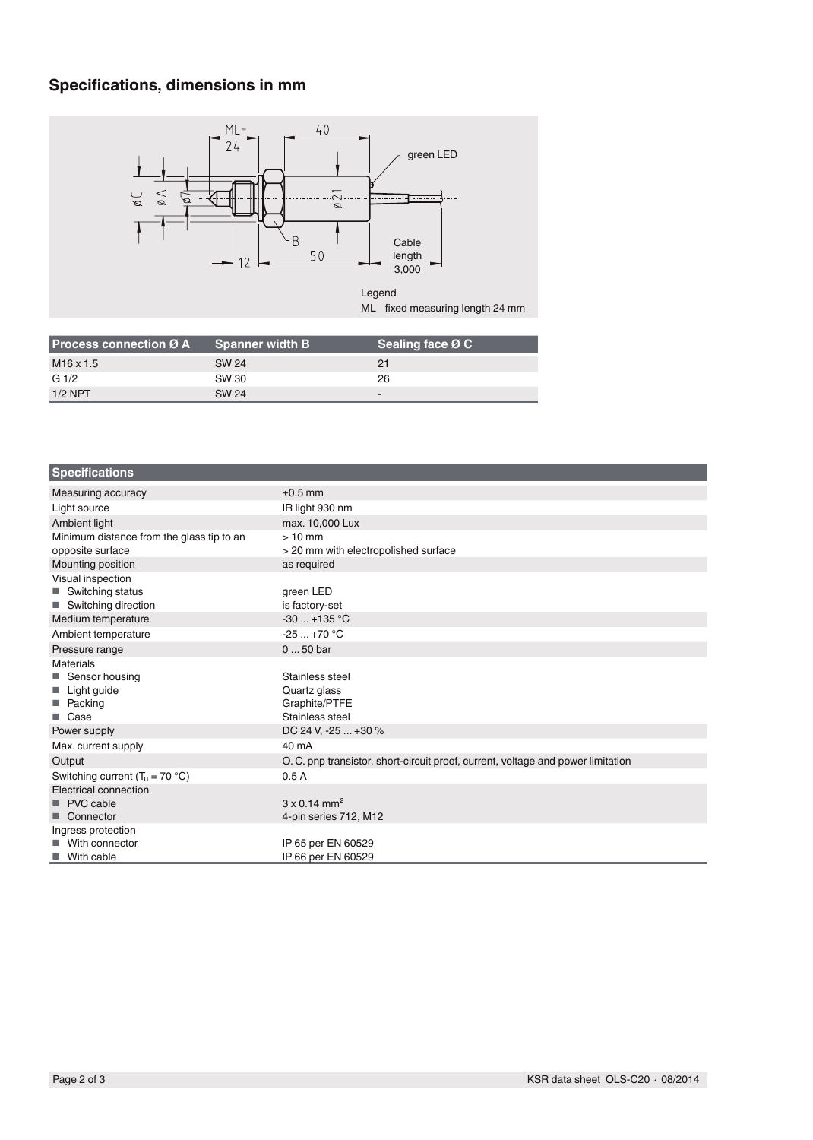# **Specifications, dimensions in mm**



| <b>Process connection <math>\varnothing</math> A</b> | <b>Spanner width B</b> | Sealing face Ø C |
|------------------------------------------------------|------------------------|------------------|
| M <sub>16</sub> x 1.5                                | SW 24                  | 21               |
| G <sub>1/2</sub>                                     | SW 30                  | 26               |
| $1/2$ NPT                                            | SW 24                  | -                |

| <b>Specifications</b>                     |                                                                                  |
|-------------------------------------------|----------------------------------------------------------------------------------|
| Measuring accuracy                        | $±0.5$ mm                                                                        |
| Light source                              | IR light 930 nm                                                                  |
| Ambient light                             | max. 10,000 Lux                                                                  |
| Minimum distance from the glass tip to an | $>10$ mm                                                                         |
| opposite surface                          | > 20 mm with electropolished surface                                             |
| Mounting position                         | as required                                                                      |
| Visual inspection                         |                                                                                  |
| ■ Switching status                        | green LED                                                                        |
| Switching direction                       | is factory-set                                                                   |
| Medium temperature                        | $-30$ +135 °C                                                                    |
| Ambient temperature                       | $-25+70$ °C                                                                      |
| Pressure range                            | $050$ bar                                                                        |
| <b>Materials</b>                          |                                                                                  |
| ■ Sensor housing                          | Stainless steel                                                                  |
| Light guide<br>ш                          | Quartz glass                                                                     |
| Packing<br><b>Tale</b>                    | Graphite/PTFE                                                                    |
| ■ Case                                    | Stainless steel                                                                  |
| Power supply                              | DC 24 V, -25  +30 %                                                              |
| Max. current supply                       | 40 mA                                                                            |
| Output                                    | O. C. pnp transistor, short-circuit proof, current, voltage and power limitation |
| Switching current $(T_u = 70 °C)$         | 0.5A                                                                             |
| Electrical connection                     |                                                                                  |
| PVC cable                                 | $3 \times 0.14$ mm <sup>2</sup>                                                  |
| Connector<br>п                            | 4-pin series 712, M12                                                            |
| Ingress protection                        |                                                                                  |
| With connector                            | IP 65 per EN 60529                                                               |
| With cable<br>m.                          | IP 66 per EN 60529                                                               |